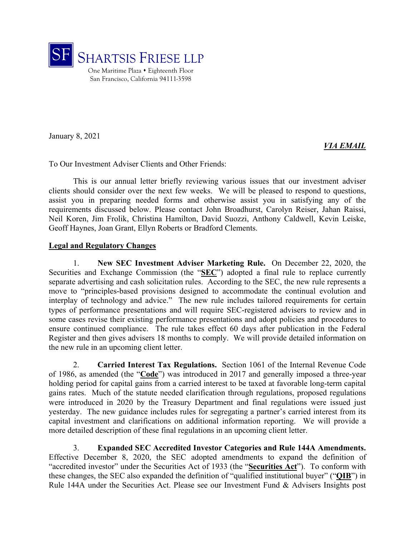

January 8, 2021

# *VIA EMAIL*

To Our Investment Adviser Clients and Other Friends:

This is our annual letter briefly reviewing various issues that our investment adviser clients should consider over the next few weeks. We will be pleased to respond to questions, assist you in preparing needed forms and otherwise assist you in satisfying any of the requirements discussed below. Please contact John Broadhurst, Carolyn Reiser, Jahan Raissi, Neil Koren, Jim Frolik, Christina Hamilton, David Suozzi, Anthony Caldwell, Kevin Leiske, Geoff Haynes, Joan Grant, Ellyn Roberts or Bradford Clements.

#### **Legal and Regulatory Changes**

1. **New SEC Investment Adviser Marketing Rule.** On December 22, 2020, the Securities and Exchange Commission (the "**SEC**") adopted a final rule to replace currently separate advertising and cash solicitation rules. According to the SEC, the new rule represents a move to "principles-based provisions designed to accommodate the continual evolution and interplay of technology and advice." The new rule includes tailored requirements for certain types of performance presentations and will require SEC-registered advisers to review and in some cases revise their existing performance presentations and adopt policies and procedures to ensure continued compliance. The rule takes effect 60 days after publication in the Federal Register and then gives advisers 18 months to comply. We will provide detailed information on the new rule in an upcoming client letter.

2. **Carried Interest Tax Regulations.** Section 1061 of the Internal Revenue Code of 1986, as amended (the "**Code**") was introduced in 2017 and generally imposed a three-year holding period for capital gains from a carried interest to be taxed at favorable long-term capital gains rates. Much of the statute needed clarification through regulations, proposed regulations were introduced in 2020 by the Treasury Department and final regulations were issued just yesterday. The new guidance includes rules for segregating a partner's carried interest from its capital investment and clarifications on additional information reporting. We will provide a more detailed description of these final regulations in an upcoming client letter.

3. **Expanded SEC Accredited Investor Categories and Rule 144A Amendments.**  Effective December 8, 2020, the SEC adopted amendments to expand the definition of "accredited investor" under the Securities Act of 1933 (the "**Securities Act**"). To conform with these changes, the SEC also expanded the definition of "qualified institutional buyer" ("**QIB**") in Rule 144A under the Securities Act. Please see our Investment Fund & Advisers Insights post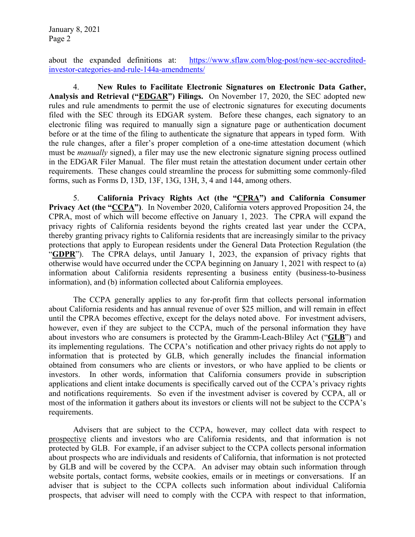about the expanded definitions at: https://www.sflaw.com/blog-post/new-sec-accreditedinvestor-categories-and-rule-144a-amendments/

4. **New Rules to Facilitate Electronic Signatures on Electronic Data Gather, Analysis and Retrieval ("EDGAR") Filings.** On November 17, 2020, the SEC adopted new rules and rule amendments to permit the use of electronic signatures for executing documents filed with the SEC through its EDGAR system. Before these changes, each signatory to an electronic filing was required to manually sign a signature page or authentication document before or at the time of the filing to authenticate the signature that appears in typed form. With the rule changes, after a filer's proper completion of a one-time attestation document (which must be *manually* signed), a filer may use the new electronic signature signing process outlined in the EDGAR Filer Manual. The filer must retain the attestation document under certain other requirements. These changes could streamline the process for submitting some commonly-filed forms, such as Forms D, 13D, 13F, 13G, 13H, 3, 4 and 144, among others.

5. **California Privacy Rights Act (the "CPRA") and California Consumer Privacy Act (the "CCPA")**. In November 2020, California voters approved Proposition 24, the CPRA, most of which will become effective on January 1, 2023. The CPRA will expand the privacy rights of California residents beyond the rights created last year under the CCPA, thereby granting privacy rights to California residents that are increasingly similar to the privacy protections that apply to European residents under the General Data Protection Regulation (the "**GDPR**"). The CPRA delays, until January 1, 2023, the expansion of privacy rights that otherwise would have occurred under the CCPA beginning on January 1, 2021 with respect to (a) information about California residents representing a business entity (business-to-business information), and (b) information collected about California employees.

The CCPA generally applies to any for-profit firm that collects personal information about California residents and has annual revenue of over \$25 million, and will remain in effect until the CPRA becomes effective, except for the delays noted above. For investment advisers, however, even if they are subject to the CCPA, much of the personal information they have about investors who are consumers is protected by the Gramm-Leach-Bliley Act ("**GLB**") and its implementing regulations. The CCPA's notification and other privacy rights do not apply to information that is protected by GLB, which generally includes the financial information obtained from consumers who are clients or investors, or who have applied to be clients or investors. In other words, information that California consumers provide in subscription applications and client intake documents is specifically carved out of the CCPA's privacy rights and notifications requirements. So even if the investment adviser is covered by CCPA, all or most of the information it gathers about its investors or clients will not be subject to the CCPA's requirements.

Advisers that are subject to the CCPA, however, may collect data with respect to prospective clients and investors who are California residents, and that information is not protected by GLB. For example, if an adviser subject to the CCPA collects personal information about prospects who are individuals and residents of California, that information is not protected by GLB and will be covered by the CCPA. An adviser may obtain such information through website portals, contact forms, website cookies, emails or in meetings or conversations. If an adviser that is subject to the CCPA collects such information about individual California prospects, that adviser will need to comply with the CCPA with respect to that information,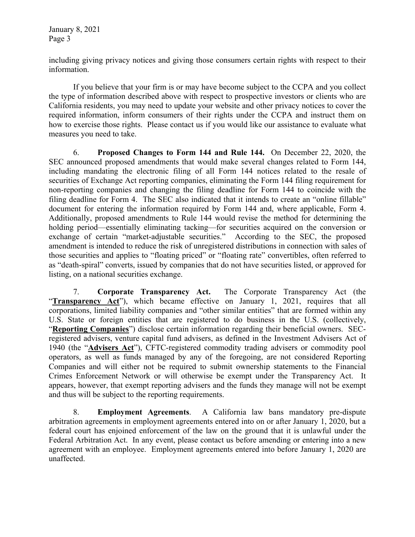including giving privacy notices and giving those consumers certain rights with respect to their information.

 If you believe that your firm is or may have become subject to the CCPA and you collect the type of information described above with respect to prospective investors or clients who are California residents, you may need to update your website and other privacy notices to cover the required information, inform consumers of their rights under the CCPA and instruct them on how to exercise those rights. Please contact us if you would like our assistance to evaluate what measures you need to take.

6. **Proposed Changes to Form 144 and Rule 144.** On December 22, 2020, the SEC announced proposed amendments that would make several changes related to Form 144, including mandating the electronic filing of all Form 144 notices related to the resale of securities of Exchange Act reporting companies, eliminating the Form 144 filing requirement for non-reporting companies and changing the filing deadline for Form 144 to coincide with the filing deadline for Form 4. The SEC also indicated that it intends to create an "online fillable" document for entering the information required by Form 144 and, where applicable, Form 4. Additionally, proposed amendments to Rule 144 would revise the method for determining the holding period—essentially eliminating tacking—for securities acquired on the conversion or exchange of certain "market-adjustable securities." According to the SEC, the proposed amendment is intended to reduce the risk of unregistered distributions in connection with sales of those securities and applies to "floating priced" or "floating rate" convertibles, often referred to as "death-spiral" converts, issued by companies that do not have securities listed, or approved for listing, on a national securities exchange.

7. **Corporate Transparency Act.** The Corporate Transparency Act (the "**Transparency Act**"), which became effective on January 1, 2021, requires that all corporations, limited liability companies and "other similar entities" that are formed within any U.S. State or foreign entities that are registered to do business in the U.S. (collectively, "**Reporting Companies**") disclose certain information regarding their beneficial owners. SECregistered advisers, venture capital fund advisers, as defined in the Investment Advisers Act of 1940 (the "**Advisers Act**"), CFTC-registered commodity trading advisers or commodity pool operators, as well as funds managed by any of the foregoing, are not considered Reporting Companies and will either not be required to submit ownership statements to the Financial Crimes Enforcement Network or will otherwise be exempt under the Transparency Act. It appears, however, that exempt reporting advisers and the funds they manage will not be exempt and thus will be subject to the reporting requirements.

8. **Employment Agreements**. A California law bans mandatory pre-dispute arbitration agreements in employment agreements entered into on or after January 1, 2020, but a federal court has enjoined enforcement of the law on the ground that it is unlawful under the Federal Arbitration Act. In any event, please contact us before amending or entering into a new agreement with an employee. Employment agreements entered into before January 1, 2020 are unaffected.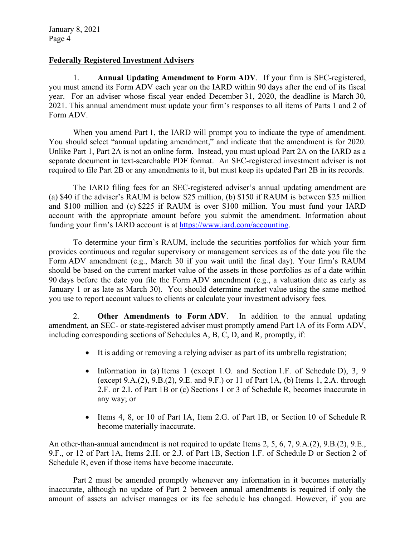# **Federally Registered Investment Advisers**

1. **Annual Updating Amendment to Form ADV**. If your firm is SEC-registered, you must amend its Form ADV each year on the IARD within 90 days after the end of its fiscal year. For an adviser whose fiscal year ended December 31, 2020, the deadline is March 30, 2021. This annual amendment must update your firm's responses to all items of Parts 1 and 2 of Form ADV.

When you amend Part 1, the IARD will prompt you to indicate the type of amendment. You should select "annual updating amendment," and indicate that the amendment is for 2020. Unlike Part 1, Part 2A is not an online form. Instead, you must upload Part 2A on the IARD as a separate document in text-searchable PDF format. An SEC-registered investment adviser is not required to file Part 2B or any amendments to it, but must keep its updated Part 2B in its records.

The IARD filing fees for an SEC-registered adviser's annual updating amendment are (a) \$40 if the adviser's RAUM is below \$25 million, (b) \$150 if RAUM is between \$25 million and \$100 million and (c) \$225 if RAUM is over \$100 million. You must fund your IARD account with the appropriate amount before you submit the amendment. Information about funding your firm's IARD account is at https://www.iard.com/accounting.

To determine your firm's RAUM, include the securities portfolios for which your firm provides continuous and regular supervisory or management services as of the date you file the Form ADV amendment (e.g., March 30 if you wait until the final day). Your firm's RAUM should be based on the current market value of the assets in those portfolios as of a date within 90 days before the date you file the Form ADV amendment (e.g., a valuation date as early as January 1 or as late as March 30). You should determine market value using the same method you use to report account values to clients or calculate your investment advisory fees.

2. **Other Amendments to Form ADV**. In addition to the annual updating amendment, an SEC- or state-registered adviser must promptly amend Part 1A of its Form ADV, including corresponding sections of Schedules A, B, C, D, and R, promptly, if:

- It is adding or removing a relying adviser as part of its umbrella registration;
- Information in (a) Items 1 (except 1.O. and Section 1.F. of Schedule D), 3, 9 (except 9.A.(2), 9.B.(2), 9.E. and 9.F.) or 11 of Part 1A, (b) Items 1, 2.A. through 2.F. or 2.I. of Part 1B or (c) Sections 1 or 3 of Schedule R, becomes inaccurate in any way; or
- Items 4, 8, or 10 of Part 1A, Item 2.G. of Part 1B, or Section 10 of Schedule R become materially inaccurate.

An other-than-annual amendment is not required to update Items 2, 5, 6, 7, 9.A.(2), 9.B.(2), 9.E., 9.F., or 12 of Part 1A, Items 2.H. or 2.J. of Part 1B, Section 1.F. of Schedule D or Section 2 of Schedule R, even if those items have become inaccurate.

Part 2 must be amended promptly whenever any information in it becomes materially inaccurate, although no update of Part 2 between annual amendments is required if only the amount of assets an adviser manages or its fee schedule has changed. However, if you are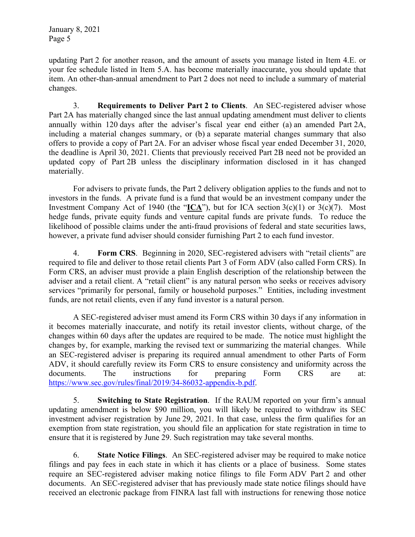updating Part 2 for another reason, and the amount of assets you manage listed in Item 4.E. or your fee schedule listed in Item 5.A. has become materially inaccurate, you should update that item. An other-than-annual amendment to Part 2 does not need to include a summary of material changes.

3. **Requirements to Deliver Part 2 to Clients**. An SEC-registered adviser whose Part 2A has materially changed since the last annual updating amendment must deliver to clients annually within 120 days after the adviser's fiscal year end either (a) an amended Part 2A, including a material changes summary, or (b) a separate material changes summary that also offers to provide a copy of Part 2A. For an adviser whose fiscal year ended December 31, 2020, the deadline is April 30, 2021. Clients that previously received Part 2B need not be provided an updated copy of Part 2B unless the disciplinary information disclosed in it has changed materially.

For advisers to private funds, the Part 2 delivery obligation applies to the funds and not to investors in the funds. A private fund is a fund that would be an investment company under the Investment Company Act of 1940 (the " $ICA$ "), but for ICA section 3(c)(1) or 3(c)(7). Most hedge funds, private equity funds and venture capital funds are private funds. To reduce the likelihood of possible claims under the anti-fraud provisions of federal and state securities laws, however, a private fund adviser should consider furnishing Part 2 to each fund investor.

4. **Form CRS**. Beginning in 2020, SEC-registered advisers with "retail clients" are required to file and deliver to those retail clients Part 3 of Form ADV (also called Form CRS). In Form CRS, an adviser must provide a plain English description of the relationship between the adviser and a retail client. A "retail client" is any natural person who seeks or receives advisory services "primarily for personal, family or household purposes." Entities, including investment funds, are not retail clients, even if any fund investor is a natural person.

A SEC-registered adviser must amend its Form CRS within 30 days if any information in it becomes materially inaccurate, and notify its retail investor clients, without charge, of the changes within 60 days after the updates are required to be made. The notice must highlight the changes by, for example, marking the revised text or summarizing the material changes. While an SEC-registered adviser is preparing its required annual amendment to other Parts of Form ADV, it should carefully review its Form CRS to ensure consistency and uniformity across the documents. The instructions for preparing Form CRS are at: https://www.sec.gov/rules/final/2019/34-86032-appendix-b.pdf.

5. **Switching to State Registration**. If the RAUM reported on your firm's annual updating amendment is below \$90 million, you will likely be required to withdraw its SEC investment adviser registration by June 29, 2021. In that case, unless the firm qualifies for an exemption from state registration, you should file an application for state registration in time to ensure that it is registered by June 29. Such registration may take several months.

6. **State Notice Filings**. An SEC-registered adviser may be required to make notice filings and pay fees in each state in which it has clients or a place of business. Some states require an SEC-registered adviser making notice filings to file Form ADV Part 2 and other documents. An SEC-registered adviser that has previously made state notice filings should have received an electronic package from FINRA last fall with instructions for renewing those notice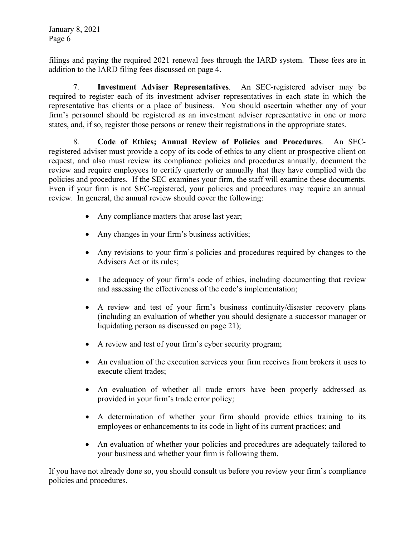filings and paying the required 2021 renewal fees through the IARD system. These fees are in addition to the IARD filing fees discussed on page 4.

7. **Investment Adviser Representatives**. An SEC-registered adviser may be required to register each of its investment adviser representatives in each state in which the representative has clients or a place of business. You should ascertain whether any of your firm's personnel should be registered as an investment adviser representative in one or more states, and, if so, register those persons or renew their registrations in the appropriate states.

8. **Code of Ethics; Annual Review of Policies and Procedures**. An SECregistered adviser must provide a copy of its code of ethics to any client or prospective client on request, and also must review its compliance policies and procedures annually, document the review and require employees to certify quarterly or annually that they have complied with the policies and procedures. If the SEC examines your firm, the staff will examine these documents. Even if your firm is not SEC-registered, your policies and procedures may require an annual review. In general, the annual review should cover the following:

- Any compliance matters that arose last year;
- Any changes in your firm's business activities;
- Any revisions to your firm's policies and procedures required by changes to the Advisers Act or its rules;
- The adequacy of your firm's code of ethics, including documenting that review and assessing the effectiveness of the code's implementation;
- A review and test of your firm's business continuity/disaster recovery plans (including an evaluation of whether you should designate a successor manager or liquidating person as discussed on page 21);
- A review and test of your firm's cyber security program;
- An evaluation of the execution services your firm receives from brokers it uses to execute client trades;
- An evaluation of whether all trade errors have been properly addressed as provided in your firm's trade error policy;
- A determination of whether your firm should provide ethics training to its employees or enhancements to its code in light of its current practices; and
- An evaluation of whether your policies and procedures are adequately tailored to your business and whether your firm is following them.

If you have not already done so, you should consult us before you review your firm's compliance policies and procedures.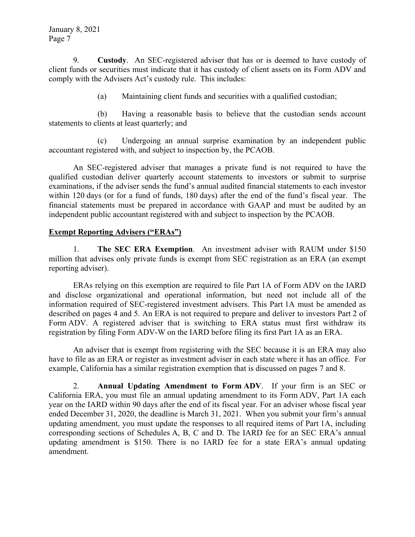9. **Custody**. An SEC-registered adviser that has or is deemed to have custody of client funds or securities must indicate that it has custody of client assets on its Form ADV and comply with the Advisers Act's custody rule. This includes:

(a) Maintaining client funds and securities with a qualified custodian;

(b) Having a reasonable basis to believe that the custodian sends account statements to clients at least quarterly; and

(c) Undergoing an annual surprise examination by an independent public accountant registered with, and subject to inspection by, the PCAOB.

An SEC-registered adviser that manages a private fund is not required to have the qualified custodian deliver quarterly account statements to investors or submit to surprise examinations, if the adviser sends the fund's annual audited financial statements to each investor within 120 days (or for a fund of funds, 180 days) after the end of the fund's fiscal year. The financial statements must be prepared in accordance with GAAP and must be audited by an independent public accountant registered with and subject to inspection by the PCAOB.

# **Exempt Reporting Advisers ("ERAs")**

1. **The SEC ERA Exemption**. An investment adviser with RAUM under \$150 million that advises only private funds is exempt from SEC registration as an ERA (an exempt reporting adviser).

ERAs relying on this exemption are required to file Part 1A of Form ADV on the IARD and disclose organizational and operational information, but need not include all of the information required of SEC-registered investment advisers. This Part 1A must be amended as described on pages 4 and 5. An ERA is not required to prepare and deliver to investors Part 2 of Form ADV. A registered adviser that is switching to ERA status must first withdraw its registration by filing Form ADV-W on the IARD before filing its first Part 1A as an ERA.

An adviser that is exempt from registering with the SEC because it is an ERA may also have to file as an ERA or register as investment adviser in each state where it has an office. For example, California has a similar registration exemption that is discussed on pages 7 and 8.

2. **Annual Updating Amendment to Form ADV**. If your firm is an SEC or California ERA, you must file an annual updating amendment to its Form ADV, Part 1A each year on the IARD within 90 days after the end of its fiscal year. For an adviser whose fiscal year ended December 31, 2020, the deadline is March 31, 2021. When you submit your firm's annual updating amendment, you must update the responses to all required items of Part 1A, including corresponding sections of Schedules A, B, C and D. The IARD fee for an SEC ERA's annual updating amendment is \$150. There is no IARD fee for a state ERA's annual updating amendment.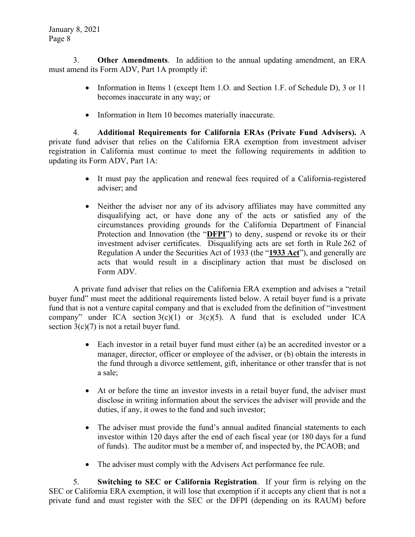3. **Other Amendments**. In addition to the annual updating amendment, an ERA must amend its Form ADV, Part 1A promptly if:

- Information in Items 1 (except Item 1.0. and Section 1.F. of Schedule D), 3 or 11 becomes inaccurate in any way; or
- Information in Item 10 becomes materially inaccurate.

4. **Additional Requirements for California ERAs (Private Fund Advisers).** A private fund adviser that relies on the California ERA exemption from investment adviser registration in California must continue to meet the following requirements in addition to updating its Form ADV, Part 1A:

- It must pay the application and renewal fees required of a California-registered adviser; and
- Neither the adviser nor any of its advisory affiliates may have committed any disqualifying act, or have done any of the acts or satisfied any of the circumstances providing grounds for the California Department of Financial Protection and Innovation (the "**DFPI**") to deny, suspend or revoke its or their investment adviser certificates. Disqualifying acts are set forth in Rule 262 of Regulation A under the Securities Act of 1933 (the "**1933 Act**"), and generally are acts that would result in a disciplinary action that must be disclosed on Form ADV.

A private fund adviser that relies on the California ERA exemption and advises a "retail buyer fund" must meet the additional requirements listed below. A retail buyer fund is a private fund that is not a venture capital company and that is excluded from the definition of "investment company" under ICA section  $3(c)(1)$  or  $3(c)(5)$ . A fund that is excluded under ICA section  $3(c)(7)$  is not a retail buyer fund.

- Each investor in a retail buyer fund must either (a) be an accredited investor or a manager, director, officer or employee of the adviser, or (b) obtain the interests in the fund through a divorce settlement, gift, inheritance or other transfer that is not a sale;
- At or before the time an investor invests in a retail buyer fund, the adviser must disclose in writing information about the services the adviser will provide and the duties, if any, it owes to the fund and such investor;
- The adviser must provide the fund's annual audited financial statements to each investor within 120 days after the end of each fiscal year (or 180 days for a fund of funds). The auditor must be a member of, and inspected by, the PCAOB; and
- The adviser must comply with the Advisers Act performance fee rule.

5. **Switching to SEC or California Registration**. If your firm is relying on the SEC or California ERA exemption, it will lose that exemption if it accepts any client that is not a private fund and must register with the SEC or the DFPI (depending on its RAUM) before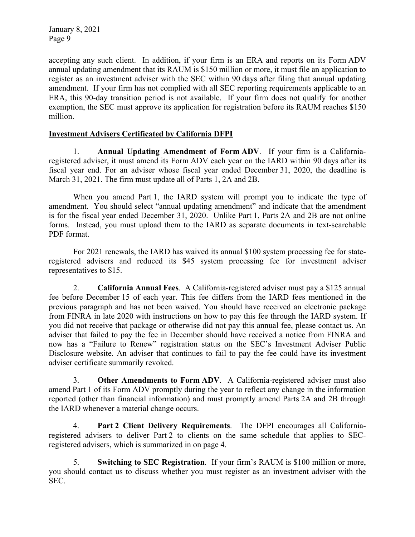accepting any such client. In addition, if your firm is an ERA and reports on its Form ADV annual updating amendment that its RAUM is \$150 million or more, it must file an application to register as an investment adviser with the SEC within 90 days after filing that annual updating amendment. If your firm has not complied with all SEC reporting requirements applicable to an ERA, this 90-day transition period is not available. If your firm does not qualify for another exemption, the SEC must approve its application for registration before its RAUM reaches \$150 million.

## **Investment Advisers Certificated by California DFPI**

1. **Annual Updating Amendment of Form ADV**. If your firm is a Californiaregistered adviser, it must amend its Form ADV each year on the IARD within 90 days after its fiscal year end. For an adviser whose fiscal year ended December 31, 2020, the deadline is March 31, 2021. The firm must update all of Parts 1, 2A and 2B.

When you amend Part 1, the IARD system will prompt you to indicate the type of amendment. You should select "annual updating amendment" and indicate that the amendment is for the fiscal year ended December 31, 2020. Unlike Part 1, Parts 2A and 2B are not online forms. Instead, you must upload them to the IARD as separate documents in text-searchable PDF format.

For 2021 renewals, the IARD has waived its annual \$100 system processing fee for stateregistered advisers and reduced its \$45 system processing fee for investment adviser representatives to \$15.

2. **California Annual Fees**. A California-registered adviser must pay a \$125 annual fee before December 15 of each year. This fee differs from the IARD fees mentioned in the previous paragraph and has not been waived. You should have received an electronic package from FINRA in late 2020 with instructions on how to pay this fee through the IARD system. If you did not receive that package or otherwise did not pay this annual fee, please contact us. An adviser that failed to pay the fee in December should have received a notice from FINRA and now has a "Failure to Renew" registration status on the SEC's Investment Adviser Public Disclosure website. An adviser that continues to fail to pay the fee could have its investment adviser certificate summarily revoked.

3. **Other Amendments to Form ADV**. A California-registered adviser must also amend Part 1 of its Form ADV promptly during the year to reflect any change in the information reported (other than financial information) and must promptly amend Parts 2A and 2B through the IARD whenever a material change occurs.

4. **Part 2 Client Delivery Requirements**. The DFPI encourages all Californiaregistered advisers to deliver Part 2 to clients on the same schedule that applies to SECregistered advisers, which is summarized in on page 4.

5. **Switching to SEC Registration**. If your firm's RAUM is \$100 million or more, you should contact us to discuss whether you must register as an investment adviser with the SEC.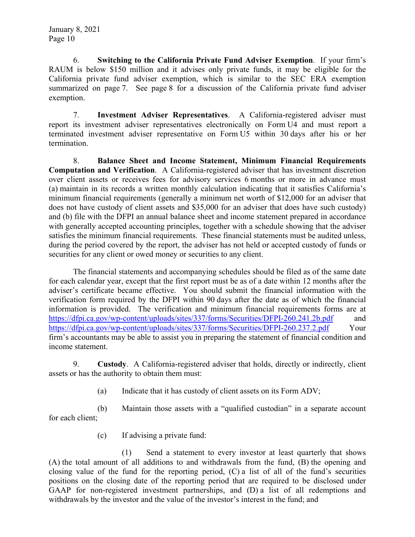6. **Switching to the California Private Fund Adviser Exemption**. If your firm's RAUM is below \$150 million and it advises only private funds, it may be eligible for the California private fund adviser exemption, which is similar to the SEC ERA exemption summarized on page 7. See page 8 for a discussion of the California private fund adviser exemption.

7. **Investment Adviser Representatives**. A California-registered adviser must report its investment adviser representatives electronically on Form U4 and must report a terminated investment adviser representative on Form U5 within 30 days after his or her termination.

8. **Balance Sheet and Income Statement, Minimum Financial Requirements Computation and Verification**. A California-registered adviser that has investment discretion over client assets or receives fees for advisory services 6 months or more in advance must (a) maintain in its records a written monthly calculation indicating that it satisfies California's minimum financial requirements (generally a minimum net worth of \$12,000 for an adviser that does not have custody of client assets and \$35,000 for an adviser that does have such custody) and (b) file with the DFPI an annual balance sheet and income statement prepared in accordance with generally accepted accounting principles, together with a schedule showing that the adviser satisfies the minimum financial requirements. These financial statements must be audited unless, during the period covered by the report, the adviser has not held or accepted custody of funds or securities for any client or owed money or securities to any client.

The financial statements and accompanying schedules should be filed as of the same date for each calendar year, except that the first report must be as of a date within 12 months after the adviser's certificate became effective. You should submit the financial information with the verification form required by the DFPI within 90 days after the date as of which the financial information is provided. The verification and minimum financial requirements forms are at https://dfpi.ca.gov/wp-content/uploads/sites/337/forms/Securities/DFPI-260.241.2b.pdf and https://dfpi.ca.gov/wp-content/uploads/sites/337/forms/Securities/DFPI-260.237.2.pdf Your firm's accountants may be able to assist you in preparing the statement of financial condition and income statement.

9. **Custody**. A California-registered adviser that holds, directly or indirectly, client assets or has the authority to obtain them must:

(a) Indicate that it has custody of client assets on its Form ADV;

(b) Maintain those assets with a "qualified custodian" in a separate account for each client;

(c) If advising a private fund:

(1) Send a statement to every investor at least quarterly that shows (A) the total amount of all additions to and withdrawals from the fund, (B) the opening and closing value of the fund for the reporting period, (C) a list of all of the fund's securities positions on the closing date of the reporting period that are required to be disclosed under GAAP for non-registered investment partnerships, and (D) a list of all redemptions and withdrawals by the investor and the value of the investor's interest in the fund; and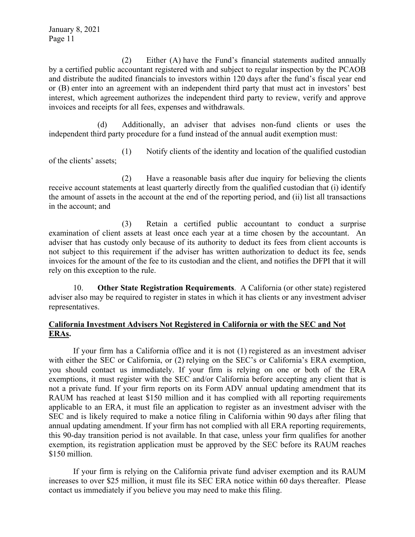(2) Either (A) have the Fund's financial statements audited annually by a certified public accountant registered with and subject to regular inspection by the PCAOB and distribute the audited financials to investors within 120 days after the fund's fiscal year end or (B) enter into an agreement with an independent third party that must act in investors' best interest, which agreement authorizes the independent third party to review, verify and approve invoices and receipts for all fees, expenses and withdrawals.

(d) Additionally, an adviser that advises non-fund clients or uses the independent third party procedure for a fund instead of the annual audit exemption must:

(1) Notify clients of the identity and location of the qualified custodian of the clients' assets;

(2) Have a reasonable basis after due inquiry for believing the clients receive account statements at least quarterly directly from the qualified custodian that (i) identify the amount of assets in the account at the end of the reporting period, and (ii) list all transactions in the account; and

(3) Retain a certified public accountant to conduct a surprise examination of client assets at least once each year at a time chosen by the accountant. An adviser that has custody only because of its authority to deduct its fees from client accounts is not subject to this requirement if the adviser has written authorization to deduct its fee, sends invoices for the amount of the fee to its custodian and the client, and notifies the DFPI that it will rely on this exception to the rule.

10. **Other State Registration Requirements**. A California (or other state) registered adviser also may be required to register in states in which it has clients or any investment adviser representatives.

## **California Investment Advisers Not Registered in California or with the SEC and Not ERAs.**

If your firm has a California office and it is not (1) registered as an investment adviser with either the SEC or California, or (2) relying on the SEC's or California's ERA exemption, you should contact us immediately. If your firm is relying on one or both of the ERA exemptions, it must register with the SEC and/or California before accepting any client that is not a private fund. If your firm reports on its Form ADV annual updating amendment that its RAUM has reached at least \$150 million and it has complied with all reporting requirements applicable to an ERA, it must file an application to register as an investment adviser with the SEC and is likely required to make a notice filing in California within 90 days after filing that annual updating amendment. If your firm has not complied with all ERA reporting requirements, this 90-day transition period is not available. In that case, unless your firm qualifies for another exemption, its registration application must be approved by the SEC before its RAUM reaches \$150 million.

If your firm is relying on the California private fund adviser exemption and its RAUM increases to over \$25 million, it must file its SEC ERA notice within 60 days thereafter. Please contact us immediately if you believe you may need to make this filing.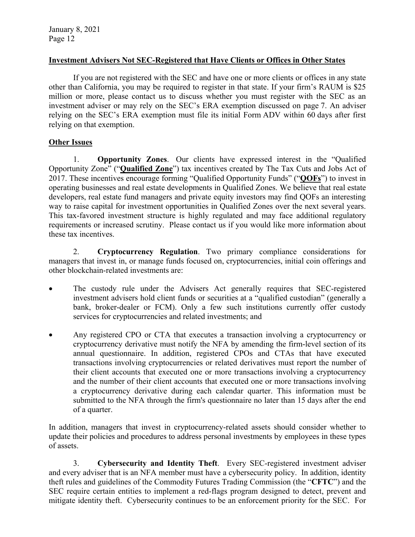#### **Investment Advisers Not SEC-Registered that Have Clients or Offices in Other States**

If you are not registered with the SEC and have one or more clients or offices in any state other than California, you may be required to register in that state. If your firm's RAUM is \$25 million or more, please contact us to discuss whether you must register with the SEC as an investment adviser or may rely on the SEC's ERA exemption discussed on page 7. An adviser relying on the SEC's ERA exemption must file its initial Form ADV within 60 days after first relying on that exemption.

## **Other Issues**

1. **Opportunity Zones**. Our clients have expressed interest in the "Qualified Opportunity Zone" ("**Qualified Zone**") tax incentives created by The Tax Cuts and Jobs Act of 2017. These incentives encourage forming "Qualified Opportunity Funds" ("**QOFs**") to invest in operating businesses and real estate developments in Qualified Zones. We believe that real estate developers, real estate fund managers and private equity investors may find QOFs an interesting way to raise capital for investment opportunities in Qualified Zones over the next several years. This tax-favored investment structure is highly regulated and may face additional regulatory requirements or increased scrutiny. Please contact us if you would like more information about these tax incentives.

2. **Cryptocurrency Regulation**. Two primary compliance considerations for managers that invest in, or manage funds focused on, cryptocurrencies, initial coin offerings and other blockchain-related investments are:

- The custody rule under the Advisers Act generally requires that SEC-registered investment advisers hold client funds or securities at a "qualified custodian" (generally a bank, broker-dealer or FCM). Only a few such institutions currently offer custody services for cryptocurrencies and related investments; and
- Any registered CPO or CTA that executes a transaction involving a cryptocurrency or cryptocurrency derivative must notify the NFA by amending the firm-level section of its annual questionnaire. In addition, registered CPOs and CTAs that have executed transactions involving cryptocurrencies or related derivatives must report the number of their client accounts that executed one or more transactions involving a cryptocurrency and the number of their client accounts that executed one or more transactions involving a cryptocurrency derivative during each calendar quarter. This information must be submitted to the NFA through the firm's questionnaire no later than 15 days after the end of a quarter.

In addition, managers that invest in cryptocurrency-related assets should consider whether to update their policies and procedures to address personal investments by employees in these types of assets.

3. **Cybersecurity and Identity Theft**. Every SEC-registered investment adviser and every adviser that is an NFA member must have a cybersecurity policy. In addition, identity theft rules and guidelines of the Commodity Futures Trading Commission (the "**CFTC**") and the SEC require certain entities to implement a red-flags program designed to detect, prevent and mitigate identity theft. Cybersecurity continues to be an enforcement priority for the SEC. For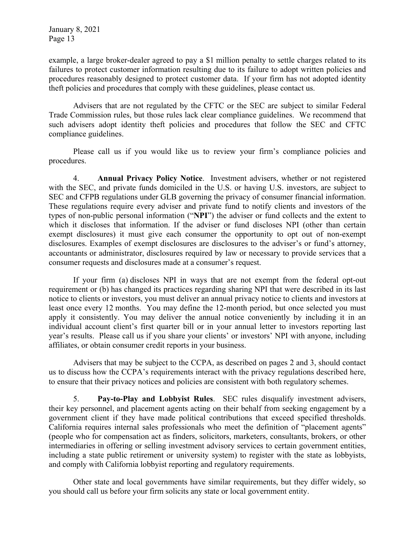example, a large broker-dealer agreed to pay a \$1 million penalty to settle charges related to its failures to protect customer information resulting due to its failure to adopt written policies and procedures reasonably designed to protect customer data. If your firm has not adopted identity theft policies and procedures that comply with these guidelines, please contact us.

Advisers that are not regulated by the CFTC or the SEC are subject to similar Federal Trade Commission rules, but those rules lack clear compliance guidelines. We recommend that such advisers adopt identity theft policies and procedures that follow the SEC and CFTC compliance guidelines.

Please call us if you would like us to review your firm's compliance policies and procedures.

4. **Annual Privacy Policy Notice**. Investment advisers, whether or not registered with the SEC, and private funds domiciled in the U.S. or having U.S. investors, are subject to SEC and CFPB regulations under GLB governing the privacy of consumer financial information. These regulations require every adviser and private fund to notify clients and investors of the types of non-public personal information ("**NPI**") the adviser or fund collects and the extent to which it discloses that information. If the adviser or fund discloses NPI (other than certain exempt disclosures) it must give each consumer the opportunity to opt out of non-exempt disclosures. Examples of exempt disclosures are disclosures to the adviser's or fund's attorney, accountants or administrator, disclosures required by law or necessary to provide services that a consumer requests and disclosures made at a consumer's request.

If your firm (a) discloses NPI in ways that are not exempt from the federal opt-out requirement or (b) has changed its practices regarding sharing NPI that were described in its last notice to clients or investors, you must deliver an annual privacy notice to clients and investors at least once every 12 months. You may define the 12-month period, but once selected you must apply it consistently. You may deliver the annual notice conveniently by including it in an individual account client's first quarter bill or in your annual letter to investors reporting last year's results. Please call us if you share your clients' or investors' NPI with anyone, including affiliates, or obtain consumer credit reports in your business.

Advisers that may be subject to the CCPA, as described on pages 2 and 3, should contact us to discuss how the CCPA's requirements interact with the privacy regulations described here, to ensure that their privacy notices and policies are consistent with both regulatory schemes.

5. **Pay-to-Play and Lobbyist Rules**. SEC rules disqualify investment advisers, their key personnel, and placement agents acting on their behalf from seeking engagement by a government client if they have made political contributions that exceed specified thresholds. California requires internal sales professionals who meet the definition of "placement agents" (people who for compensation act as finders, solicitors, marketers, consultants, brokers, or other intermediaries in offering or selling investment advisory services to certain government entities, including a state public retirement or university system) to register with the state as lobbyists, and comply with California lobbyist reporting and regulatory requirements.

Other state and local governments have similar requirements, but they differ widely, so you should call us before your firm solicits any state or local government entity.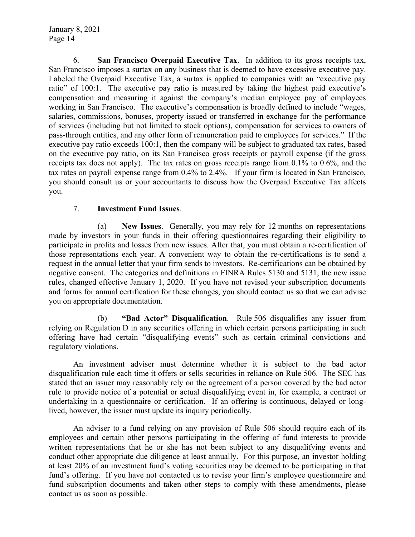6. **San Francisco Overpaid Executive Tax**. In addition to its gross receipts tax, San Francisco imposes a surtax on any business that is deemed to have excessive executive pay. Labeled the Overpaid Executive Tax, a surtax is applied to companies with an "executive pay ratio" of 100:1. The executive pay ratio is measured by taking the highest paid executive's compensation and measuring it against the company's median employee pay of employees working in San Francisco. The executive's compensation is broadly defined to include "wages, salaries, commissions, bonuses, property issued or transferred in exchange for the performance of services (including but not limited to stock options), compensation for services to owners of pass-through entities, and any other form of remuneration paid to employees for services." If the executive pay ratio exceeds 100:1, then the company will be subject to graduated tax rates, based on the executive pay ratio, on its San Francisco gross receipts or payroll expense (if the gross receipts tax does not apply). The tax rates on gross receipts range from 0.1% to 0.6%, and the tax rates on payroll expense range from 0.4% to 2.4%. If your firm is located in San Francisco, you should consult us or your accountants to discuss how the Overpaid Executive Tax affects you.

## 7. **Investment Fund Issues**.

(a) **New Issues**. Generally, you may rely for 12 months on representations made by investors in your funds in their offering questionnaires regarding their eligibility to participate in profits and losses from new issues. After that, you must obtain a re-certification of those representations each year. A convenient way to obtain the re-certifications is to send a request in the annual letter that your firm sends to investors. Re-certifications can be obtained by negative consent. The categories and definitions in FINRA Rules 5130 and 5131, the new issue rules, changed effective January 1, 2020. If you have not revised your subscription documents and forms for annual certification for these changes, you should contact us so that we can advise you on appropriate documentation.

(b) **"Bad Actor" Disqualification**. Rule 506 disqualifies any issuer from relying on Regulation D in any securities offering in which certain persons participating in such offering have had certain "disqualifying events" such as certain criminal convictions and regulatory violations.

An investment adviser must determine whether it is subject to the bad actor disqualification rule each time it offers or sells securities in reliance on Rule 506. The SEC has stated that an issuer may reasonably rely on the agreement of a person covered by the bad actor rule to provide notice of a potential or actual disqualifying event in, for example, a contract or undertaking in a questionnaire or certification. If an offering is continuous, delayed or longlived, however, the issuer must update its inquiry periodically.

An adviser to a fund relying on any provision of Rule 506 should require each of its employees and certain other persons participating in the offering of fund interests to provide written representations that he or she has not been subject to any disqualifying events and conduct other appropriate due diligence at least annually. For this purpose, an investor holding at least 20% of an investment fund's voting securities may be deemed to be participating in that fund's offering. If you have not contacted us to revise your firm's employee questionnaire and fund subscription documents and taken other steps to comply with these amendments, please contact us as soon as possible.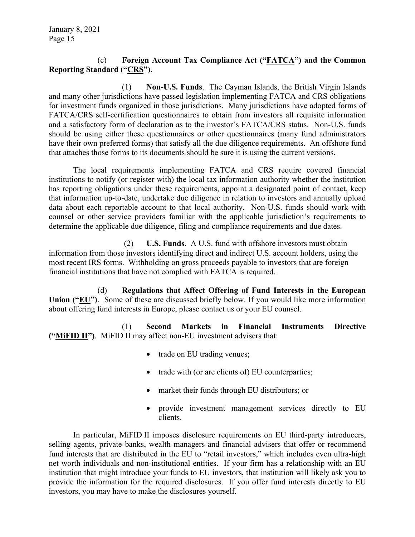## (c) **Foreign Account Tax Compliance Act ("FATCA") and the Common Reporting Standard ("CRS")**.

(1) **Non-U.S. Funds**. The Cayman Islands, the British Virgin Islands and many other jurisdictions have passed legislation implementing FATCA and CRS obligations for investment funds organized in those jurisdictions. Many jurisdictions have adopted forms of FATCA/CRS self-certification questionnaires to obtain from investors all requisite information and a satisfactory form of declaration as to the investor's FATCA/CRS status. Non-U.S. funds should be using either these questionnaires or other questionnaires (many fund administrators have their own preferred forms) that satisfy all the due diligence requirements. An offshore fund that attaches those forms to its documents should be sure it is using the current versions.

The local requirements implementing FATCA and CRS require covered financial institutions to notify (or register with) the local tax information authority whether the institution has reporting obligations under these requirements, appoint a designated point of contact, keep that information up-to-date, undertake due diligence in relation to investors and annually upload data about each reportable account to that local authority. Non-U.S. funds should work with counsel or other service providers familiar with the applicable jurisdiction's requirements to determine the applicable due diligence, filing and compliance requirements and due dates.

 (2) **U.S. Funds**. A U.S. fund with offshore investors must obtain information from those investors identifying direct and indirect U.S. account holders, using the most recent IRS forms. Withholding on gross proceeds payable to investors that are foreign financial institutions that have not complied with FATCA is required.

(d) **Regulations that Affect Offering of Fund Interests in the European Union ("EU")**. Some of these are discussed briefly below. If you would like more information about offering fund interests in Europe, please contact us or your EU counsel.

(1) **Second Markets in Financial Instruments Directive ("MiFID II")**. MiFID II may affect non-EU investment advisers that:

- trade on EU trading venues;
- trade with (or are clients of) EU counterparties;
- market their funds through EU distributors; or
- provide investment management services directly to EU clients.

In particular, MiFID II imposes disclosure requirements on EU third-party introducers, selling agents, private banks, wealth managers and financial advisers that offer or recommend fund interests that are distributed in the EU to "retail investors," which includes even ultra-high net worth individuals and non-institutional entities. If your firm has a relationship with an EU institution that might introduce your funds to EU investors, that institution will likely ask you to provide the information for the required disclosures. If you offer fund interests directly to EU investors, you may have to make the disclosures yourself.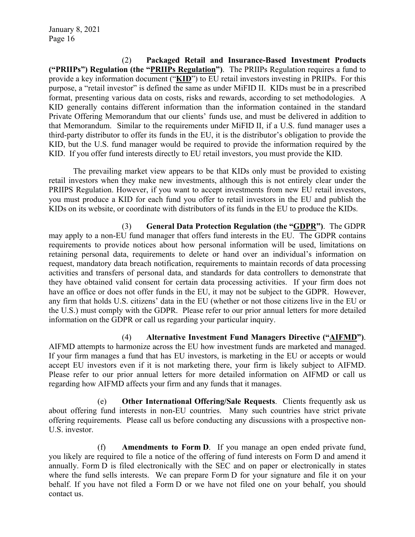(2) **Packaged Retail and Insurance-Based Investment Products ("PRIIPs") Regulation (the "PRIIPs Regulation")**. The PRIIPs Regulation requires a fund to provide a key information document ("**KID**") to EU retail investors investing in PRIIPs. For this purpose, a "retail investor" is defined the same as under MiFID II. KIDs must be in a prescribed format, presenting various data on costs, risks and rewards, according to set methodologies. A KID generally contains different information than the information contained in the standard Private Offering Memorandum that our clients' funds use, and must be delivered in addition to that Memorandum. Similar to the requirements under MiFID II, if a U.S. fund manager uses a third-party distributor to offer its funds in the EU, it is the distributor's obligation to provide the KID, but the U.S. fund manager would be required to provide the information required by the KID. If you offer fund interests directly to EU retail investors, you must provide the KID.

The prevailing market view appears to be that KIDs only must be provided to existing retail investors when they make new investments, although this is not entirely clear under the PRIIPS Regulation. However, if you want to accept investments from new EU retail investors, you must produce a KID for each fund you offer to retail investors in the EU and publish the KIDs on its website, or coordinate with distributors of its funds in the EU to produce the KIDs.

(3) **General Data Protection Regulation (the "GDPR")**. The GDPR may apply to a non-EU fund manager that offers fund interests in the EU. The GDPR contains requirements to provide notices about how personal information will be used, limitations on retaining personal data, requirements to delete or hand over an individual's information on request, mandatory data breach notification, requirements to maintain records of data processing activities and transfers of personal data, and standards for data controllers to demonstrate that they have obtained valid consent for certain data processing activities. If your firm does not have an office or does not offer funds in the EU, it may not be subject to the GDPR. However, any firm that holds U.S. citizens' data in the EU (whether or not those citizens live in the EU or the U.S.) must comply with the GDPR. Please refer to our prior annual letters for more detailed information on the GDPR or call us regarding your particular inquiry.

(4) **Alternative Investment Fund Managers Directive ("AIFMD")**. AIFMD attempts to harmonize across the EU how investment funds are marketed and managed. If your firm manages a fund that has EU investors, is marketing in the EU or accepts or would accept EU investors even if it is not marketing there, your firm is likely subject to AIFMD. Please refer to our prior annual letters for more detailed information on AIFMD or call us regarding how AIFMD affects your firm and any funds that it manages.

(e) **Other International Offering/Sale Requests**. Clients frequently ask us about offering fund interests in non-EU countries. Many such countries have strict private offering requirements. Please call us before conducting any discussions with a prospective non-U.S. investor.

(f) **Amendments to Form D**. If you manage an open ended private fund, you likely are required to file a notice of the offering of fund interests on Form D and amend it annually. Form D is filed electronically with the SEC and on paper or electronically in states where the fund sells interests. We can prepare Form D for your signature and file it on your behalf. If you have not filed a Form D or we have not filed one on your behalf, you should contact us.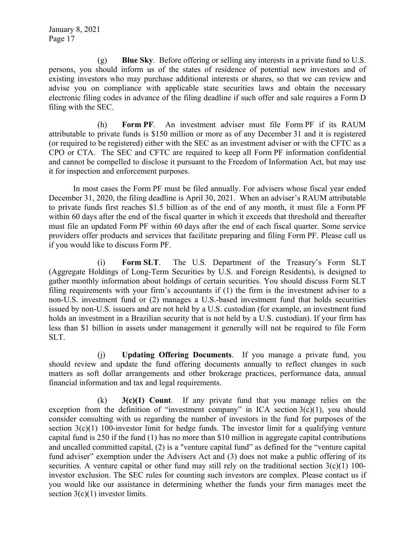(g) **Blue Sky**. Before offering or selling any interests in a private fund to U.S. persons, you should inform us of the states of residence of potential new investors and of existing investors who may purchase additional interests or shares, so that we can review and advise you on compliance with applicable state securities laws and obtain the necessary electronic filing codes in advance of the filing deadline if such offer and sale requires a Form D filing with the SEC.

(h) **Form PF**. An investment adviser must file Form PF if its RAUM attributable to private funds is \$150 million or more as of any December 31 and it is registered (or required to be registered) either with the SEC as an investment adviser or with the CFTC as a CPO or CTA. The SEC and CFTC are required to keep all Form PF information confidential and cannot be compelled to disclose it pursuant to the Freedom of Information Act, but may use it for inspection and enforcement purposes.

In most cases the Form PF must be filed annually. For advisers whose fiscal year ended December 31, 2020, the filing deadline is April 30, 2021. When an adviser's RAUM attributable to private funds first reaches \$1.5 billion as of the end of any month, it must file a Form PF within 60 days after the end of the fiscal quarter in which it exceeds that threshold and thereafter must file an updated Form PF within 60 days after the end of each fiscal quarter. Some service providers offer products and services that facilitate preparing and filing Form PF. Please call us if you would like to discuss Form PF.

(i) **Form SLT**. The U.S. Department of the Treasury's Form SLT (Aggregate Holdings of Long-Term Securities by U.S. and Foreign Residents), is designed to gather monthly information about holdings of certain securities. You should discuss Form SLT filing requirements with your firm's accountants if (1) the firm is the investment adviser to a non-U.S. investment fund or (2) manages a U.S.-based investment fund that holds securities issued by non-U.S. issuers and are not held by a U.S. custodian (for example, an investment fund holds an investment in a Brazilian security that is not held by a U.S. custodian). If your firm has less than \$1 billion in assets under management it generally will not be required to file Form SLT.

(j) **Updating Offering Documents**. If you manage a private fund, you should review and update the fund offering documents annually to reflect changes in such matters as soft dollar arrangements and other brokerage practices, performance data, annual financial information and tax and legal requirements.

(k) **3(c)(1) Count**. If any private fund that you manage relies on the exception from the definition of "investment company" in ICA section  $3(c)(1)$ , you should consider consulting with us regarding the number of investors in the fund for purposes of the section 3(c)(1) 100-investor limit for hedge funds. The investor limit for a qualifying venture capital fund is 250 if the fund (1) has no more than \$10 million in aggregate capital contributions and uncalled committed capital, (2) is a "venture capital fund" as defined for the "venture capital fund adviser" exemption under the Advisers Act and (3) does not make a public offering of its securities. A venture capital or other fund may still rely on the traditional section  $3(c)(1)$  100investor exclusion. The SEC rules for counting such investors are complex. Please contact us if you would like our assistance in determining whether the funds your firm manages meet the section  $3(c)(1)$  investor limits.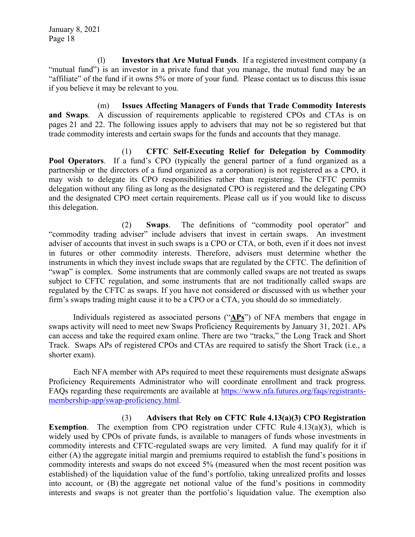(l) **Investors that Are Mutual Funds**. If a registered investment company (a "mutual fund") is an investor in a private fund that you manage, the mutual fund may be an "affiliate" of the fund if it owns 5% or more of your fund. Please contact us to discuss this issue if you believe it may be relevant to you.

(m) **Issues Affecting Managers of Funds that Trade Commodity Interests and Swaps**. A discussion of requirements applicable to registered CPOs and CTAs is on pages 21 and 22. The following issues apply to advisers that may not be so registered but that trade commodity interests and certain swaps for the funds and accounts that they manage.

(1) **CFTC Self-Executing Relief for Delegation by Commodity Pool Operators**. If a fund's CPO (typically the general partner of a fund organized as a partnership or the directors of a fund organized as a corporation) is not registered as a CPO, it may wish to delegate its CPO responsibilities rather than registering. The CFTC permits delegation without any filing as long as the designated CPO is registered and the delegating CPO and the designated CPO meet certain requirements. Please call us if you would like to discuss this delegation.

(2) **Swaps**. The definitions of "commodity pool operator" and "commodity trading adviser" include advisers that invest in certain swaps. An investment adviser of accounts that invest in such swaps is a CPO or CTA, or both, even if it does not invest in futures or other commodity interests. Therefore, advisers must determine whether the instruments in which they invest include swaps that are regulated by the CFTC. The definition of "swap" is complex. Some instruments that are commonly called swaps are not treated as swaps subject to CFTC regulation, and some instruments that are not traditionally called swaps are regulated by the CFTC as swaps. If you have not considered or discussed with us whether your firm's swaps trading might cause it to be a CPO or a CTA, you should do so immediately.

Individuals registered as associated persons ("**APs**") of NFA members that engage in swaps activity will need to meet new Swaps Proficiency Requirements by January 31, 2021. APs can access and take the required exam online. There are two "tracks," the Long Track and Short Track. Swaps APs of registered CPOs and CTAs are required to satisfy the Short Track (i.e., a shorter exam).

Each NFA member with APs required to meet these requirements must designate aSwaps Proficiency Requirements Administrator who will coordinate enrollment and track progress. FAQs regarding these requirements are available at https://www.nfa.futures.org/faqs/registrantsmembership-app/swap-proficiency.html.

(3) **Advisers that Rely on CFTC Rule 4.13(a)(3) CPO Registration Exemption.** The exemption from CPO registration under CFTC Rule 4.13(a)(3), which is widely used by CPOs of private funds, is available to managers of funds whose investments in commodity interests and CFTC-regulated swaps are very limited. A fund may qualify for it if either (A) the aggregate initial margin and premiums required to establish the fund's positions in commodity interests and swaps do not exceed 5% (measured when the most recent position was established) of the liquidation value of the fund's portfolio, taking unrealized profits and losses into account, or (B) the aggregate net notional value of the fund's positions in commodity interests and swaps is not greater than the portfolio's liquidation value. The exemption also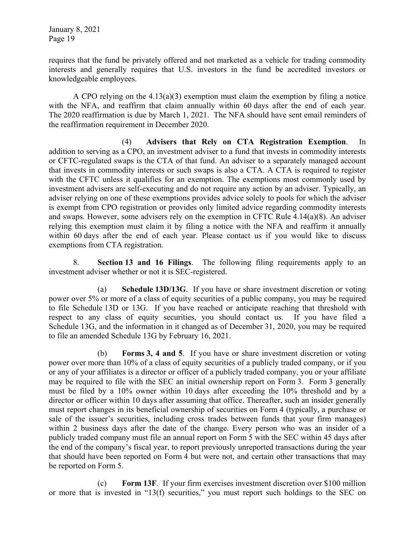requires that the fund be privately offered and not marketed as a vehicle for trading commodity interests and generally requires that U.S. investors in the fund be accredited investors or knowledgeable employees.

A CPO relying on the  $4.13(a)(3)$  exemption must claim the exemption by filing a notice with the NFA, and reaffirm that claim annually within 60 days after the end of each year. The 2020 reaffirmation is due by March 1, 2021. The NFA should have sent email reminders of the reaffirmation requirement in December 2020.

(4) **Advisers that Rely on CTA Registration Exemption**. In addition to serving as a CPO, an investment adviser to a fund that invests in commodity interests or CFTC-regulated swaps is the CTA of that fund. An adviser to a separately managed account that invests in commodity interests or such swaps is also a CTA. A CTA is required to register with the CFTC unless it qualifies for an exemption. The exemptions most commonly used by investment advisers are self-executing and do not require any action by an adviser. Typically, an adviser relying on one of these exemptions provides advice solely to pools for which the adviser is exempt from CPO registration or provides only limited advice regarding commodity interests and swaps. However, some advisers rely on the exemption in CFTC Rule 4.14(a)(8). An adviser relying this exemption must claim it by filing a notice with the NFA and reaffirm it annually within 60 days after the end of each year. Please contact us if you would like to discuss exemptions from CTA registration.

8. **Section 13 and 16 Filings**. The following filing requirements apply to an investment adviser whether or not it is SEC-registered.

(a) **Schedule 13D/13G**. If you have or share investment discretion or voting power over 5% or more of a class of equity securities of a public company, you may be required to file Schedule 13D or 13G. If you have reached or anticipate reaching that threshold with respect to any class of equity securities, you should contact us. If you have filed a Schedule 13G, and the information in it changed as of December 31, 2020, you may be required to file an amended Schedule 13G by February 16, 2021.

(b) **Forms 3, 4 and 5**. If you have or share investment discretion or voting power over more than 10% of a class of equity securities of a publicly traded company, or if you or any of your affiliates is a director or officer of a publicly traded company, you or your affiliate may be required to file with the SEC an initial ownership report on Form 3. Form 3 generally must be filed by a 10% owner within 10 days after exceeding the 10% threshold and by a director or officer within 10 days after assuming that office. Thereafter, such an insider generally must report changes in its beneficial ownership of securities on Form 4 (typically, a purchase or sale of the issuer's securities, including cross trades between funds that your firm manages) within 2 business days after the date of the change. Every person who was an insider of a publicly traded company must file an annual report on Form 5 with the SEC within 45 days after the end of the company's fiscal year, to report previously unreported transactions during the year that should have been reported on Form 4 but were not, and certain other transactions that may be reported on Form 5.

(c) **Form 13F**. If your firm exercises investment discretion over \$100 million or more that is invested in "13(f) securities," you must report such holdings to the SEC on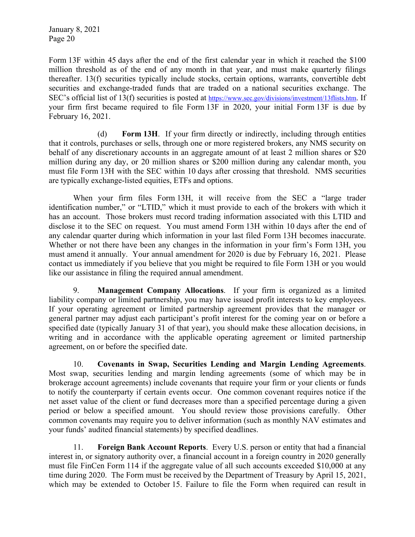Form 13F within 45 days after the end of the first calendar year in which it reached the \$100 million threshold as of the end of any month in that year, and must make quarterly filings thereafter. 13(f) securities typically include stocks, certain options, warrants, convertible debt securities and exchange-traded funds that are traded on a national securities exchange. The SEC's official list of 13(f) securities is posted at https://www.sec.gov/divisions/investment/13flists.htm. If your firm first became required to file Form 13F in 2020, your initial Form 13F is due by February 16, 2021.

(d) **Form 13H**. If your firm directly or indirectly, including through entities that it controls, purchases or sells, through one or more registered brokers, any NMS security on behalf of any discretionary accounts in an aggregate amount of at least 2 million shares or \$20 million during any day, or 20 million shares or \$200 million during any calendar month, you must file Form 13H with the SEC within 10 days after crossing that threshold. NMS securities are typically exchange-listed equities, ETFs and options.

When your firm files Form 13H, it will receive from the SEC a "large trader identification number," or "LTID," which it must provide to each of the brokers with which it has an account. Those brokers must record trading information associated with this LTID and disclose it to the SEC on request. You must amend Form 13H within 10 days after the end of any calendar quarter during which information in your last filed Form 13H becomes inaccurate. Whether or not there have been any changes in the information in your firm's Form 13H, you must amend it annually. Your annual amendment for 2020 is due by February 16, 2021. Please contact us immediately if you believe that you might be required to file Form 13H or you would like our assistance in filing the required annual amendment.

9. **Management Company Allocations**. If your firm is organized as a limited liability company or limited partnership, you may have issued profit interests to key employees. If your operating agreement or limited partnership agreement provides that the manager or general partner may adjust each participant's profit interest for the coming year on or before a specified date (typically January 31 of that year), you should make these allocation decisions, in writing and in accordance with the applicable operating agreement or limited partnership agreement, on or before the specified date.

10. **Covenants in Swap, Securities Lending and Margin Lending Agreements**. Most swap, securities lending and margin lending agreements (some of which may be in brokerage account agreements) include covenants that require your firm or your clients or funds to notify the counterparty if certain events occur. One common covenant requires notice if the net asset value of the client or fund decreases more than a specified percentage during a given period or below a specified amount. You should review those provisions carefully. Other common covenants may require you to deliver information (such as monthly NAV estimates and your funds' audited financial statements) by specified deadlines.

11. **Foreign Bank Account Reports**. Every U.S. person or entity that had a financial interest in, or signatory authority over, a financial account in a foreign country in 2020 generally must file FinCen Form 114 if the aggregate value of all such accounts exceeded \$10,000 at any time during 2020. The Form must be received by the Department of Treasury by April 15, 2021, which may be extended to October 15. Failure to file the Form when required can result in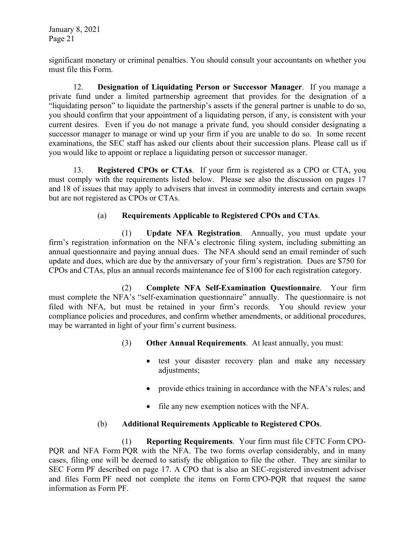significant monetary or criminal penalties. You should consult your accountants on whether you must file this Form.

12. **Designation of Liquidating Person or Successor Manager**. If you manage a private fund under a limited partnership agreement that provides for the designation of a "liquidating person" to liquidate the partnership's assets if the general partner is unable to do so, you should confirm that your appointment of a liquidating person, if any, is consistent with your current desires. Even if you do not manage a private fund, you should consider designating a successor manager to manage or wind up your firm if you are unable to do so. In some recent examinations, the SEC staff has asked our clients about their succession plans. Please call us if you would like to appoint or replace a liquidating person or successor manager.

13. **Registered CPOs or CTAs**. If your firm is registered as a CPO or CTA, you must comply with the requirements listed below. Please see also the discussion on pages 17 and 18 of issues that may apply to advisers that invest in commodity interests and certain swaps but are not registered as CPOs or CTAs.

# (a) **Requirements Applicable to Registered CPOs and CTAs**.

(1) **Update NFA Registration**. Annually, you must update your firm's registration information on the NFA's electronic filing system, including submitting an annual questionnaire and paying annual dues. The NFA should send an email reminder of such update and dues, which are due by the anniversary of your firm's registration. Dues are \$750 for CPOs and CTAs, plus an annual records maintenance fee of \$100 for each registration category.

(2) **Complete NFA Self-Examination Questionnaire**. Your firm must complete the NFA's "self-examination questionnaire" annually. The questionnaire is not filed with NFA, but must be retained in your firm's records. You should review your compliance policies and procedures, and confirm whether amendments, or additional procedures, may be warranted in light of your firm's current business.

- (3) **Other Annual Requirements**. At least annually, you must:
	- test your disaster recovery plan and make any necessary adjustments;
	- provide ethics training in accordance with the NFA's rules; and
	- file any new exemption notices with the NFA.

# (b) **Additional Requirements Applicable to Registered CPOs**.

(1) **Reporting Requirements**. Your firm must file CFTC Form CPO-PQR and NFA Form PQR with the NFA. The two forms overlap considerably, and in many cases, filing one will be deemed to satisfy the obligation to file the other. They are similar to SEC Form PF described on page 17. A CPO that is also an SEC-registered investment adviser and files Form PF need not complete the items on Form CPO-PQR that request the same information as Form PF.